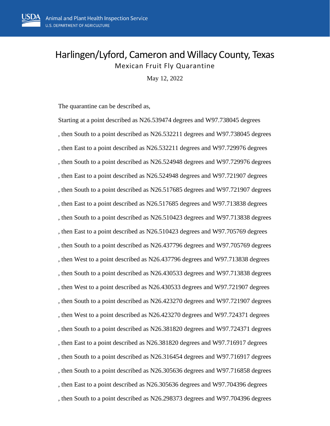## Harlingen/Lyford, Cameron and Willacy County, Texas Mexican Fruit Fly Quarantine

May 12, 2022

The quarantine can be described as,

Starting at a point described as N26.539474 degrees and W97.738045 degrees , then South to a point described as N26.532211 degrees and W97.738045 degrees , then East to a point described as N26.532211 degrees and W97.729976 degrees , then South to a point described as N26.524948 degrees and W97.729976 degrees , then East to a point described as N26.524948 degrees and W97.721907 degrees , then South to a point described as N26.517685 degrees and W97.721907 degrees , then East to a point described as N26.517685 degrees and W97.713838 degrees , then South to a point described as N26.510423 degrees and W97.713838 degrees , then East to a point described as N26.510423 degrees and W97.705769 degrees , then South to a point described as N26.437796 degrees and W97.705769 degrees , then West to a point described as N26.437796 degrees and W97.713838 degrees , then South to a point described as N26.430533 degrees and W97.713838 degrees , then West to a point described as N26.430533 degrees and W97.721907 degrees , then South to a point described as N26.423270 degrees and W97.721907 degrees , then West to a point described as N26.423270 degrees and W97.724371 degrees , then South to a point described as N26.381820 degrees and W97.724371 degrees , then East to a point described as N26.381820 degrees and W97.716917 degrees , then South to a point described as N26.316454 degrees and W97.716917 degrees , then South to a point described as N26.305636 degrees and W97.716858 degrees , then East to a point described as N26.305636 degrees and W97.704396 degrees , then South to a point described as N26.298373 degrees and W97.704396 degrees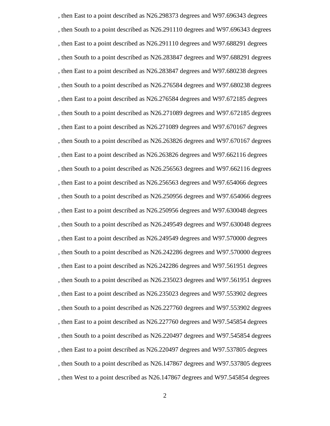, then East to a point described as N26.298373 degrees and W97.696343 degrees , then South to a point described as N26.291110 degrees and W97.696343 degrees , then East to a point described as N26.291110 degrees and W97.688291 degrees , then South to a point described as N26.283847 degrees and W97.688291 degrees , then East to a point described as N26.283847 degrees and W97.680238 degrees , then South to a point described as N26.276584 degrees and W97.680238 degrees , then East to a point described as N26.276584 degrees and W97.672185 degrees , then South to a point described as N26.271089 degrees and W97.672185 degrees , then East to a point described as N26.271089 degrees and W97.670167 degrees , then South to a point described as N26.263826 degrees and W97.670167 degrees , then East to a point described as N26.263826 degrees and W97.662116 degrees , then South to a point described as N26.256563 degrees and W97.662116 degrees , then East to a point described as N26.256563 degrees and W97.654066 degrees , then South to a point described as N26.250956 degrees and W97.654066 degrees , then East to a point described as N26.250956 degrees and W97.630048 degrees , then South to a point described as N26.249549 degrees and W97.630048 degrees , then East to a point described as N26.249549 degrees and W97.570000 degrees , then South to a point described as N26.242286 degrees and W97.570000 degrees , then East to a point described as N26.242286 degrees and W97.561951 degrees , then South to a point described as N26.235023 degrees and W97.561951 degrees , then East to a point described as N26.235023 degrees and W97.553902 degrees , then South to a point described as N26.227760 degrees and W97.553902 degrees , then East to a point described as N26.227760 degrees and W97.545854 degrees , then South to a point described as N26.220497 degrees and W97.545854 degrees , then East to a point described as N26.220497 degrees and W97.537805 degrees , then South to a point described as N26.147867 degrees and W97.537805 degrees , then West to a point described as N26.147867 degrees and W97.545854 degrees

2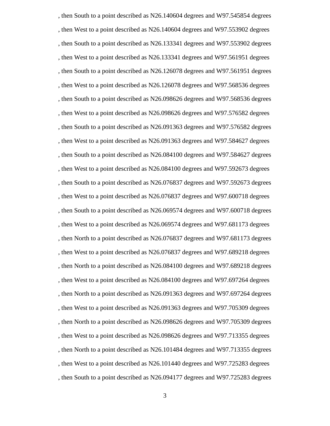, then South to a point described as N26.140604 degrees and W97.545854 degrees , then West to a point described as N26.140604 degrees and W97.553902 degrees , then South to a point described as N26.133341 degrees and W97.553902 degrees , then West to a point described as N26.133341 degrees and W97.561951 degrees , then South to a point described as N26.126078 degrees and W97.561951 degrees , then West to a point described as N26.126078 degrees and W97.568536 degrees , then South to a point described as N26.098626 degrees and W97.568536 degrees , then West to a point described as N26.098626 degrees and W97.576582 degrees , then South to a point described as N26.091363 degrees and W97.576582 degrees , then West to a point described as N26.091363 degrees and W97.584627 degrees , then South to a point described as N26.084100 degrees and W97.584627 degrees , then West to a point described as N26.084100 degrees and W97.592673 degrees , then South to a point described as N26.076837 degrees and W97.592673 degrees , then West to a point described as N26.076837 degrees and W97.600718 degrees , then South to a point described as N26.069574 degrees and W97.600718 degrees , then West to a point described as N26.069574 degrees and W97.681173 degrees , then North to a point described as N26.076837 degrees and W97.681173 degrees , then West to a point described as N26.076837 degrees and W97.689218 degrees , then North to a point described as N26.084100 degrees and W97.689218 degrees , then West to a point described as N26.084100 degrees and W97.697264 degrees , then North to a point described as N26.091363 degrees and W97.697264 degrees , then West to a point described as N26.091363 degrees and W97.705309 degrees , then North to a point described as N26.098626 degrees and W97.705309 degrees , then West to a point described as N26.098626 degrees and W97.713355 degrees , then North to a point described as N26.101484 degrees and W97.713355 degrees , then West to a point described as N26.101440 degrees and W97.725283 degrees , then South to a point described as N26.094177 degrees and W97.725283 degrees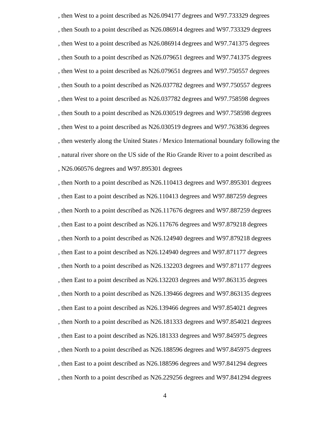, then West to a point described as N26.094177 degrees and W97.733329 degrees , then South to a point described as N26.086914 degrees and W97.733329 degrees , then West to a point described as N26.086914 degrees and W97.741375 degrees , then South to a point described as N26.079651 degrees and W97.741375 degrees , then West to a point described as N26.079651 degrees and W97.750557 degrees , then South to a point described as N26.037782 degrees and W97.750557 degrees , then West to a point described as N26.037782 degrees and W97.758598 degrees , then South to a point described as N26.030519 degrees and W97.758598 degrees , then West to a point described as N26.030519 degrees and W97.763836 degrees , then westerly along the United States / Mexico International boundary following the , natural river shore on the US side of the Rio Grande River to a point described as , N26.060576 degrees and W97.895301 degrees

, then North to a point described as N26.110413 degrees and W97.895301 degrees , then East to a point described as N26.110413 degrees and W97.887259 degrees , then North to a point described as N26.117676 degrees and W97.887259 degrees , then East to a point described as N26.117676 degrees and W97.879218 degrees , then North to a point described as N26.124940 degrees and W97.879218 degrees , then East to a point described as N26.124940 degrees and W97.871177 degrees , then North to a point described as N26.132203 degrees and W97.871177 degrees , then East to a point described as N26.132203 degrees and W97.863135 degrees , then North to a point described as N26.139466 degrees and W97.863135 degrees , then East to a point described as N26.139466 degrees and W97.854021 degrees , then North to a point described as N26.181333 degrees and W97.854021 degrees , then East to a point described as N26.181333 degrees and W97.845975 degrees , then North to a point described as N26.188596 degrees and W97.845975 degrees , then East to a point described as N26.188596 degrees and W97.841294 degrees , then North to a point described as N26.229256 degrees and W97.841294 degrees

4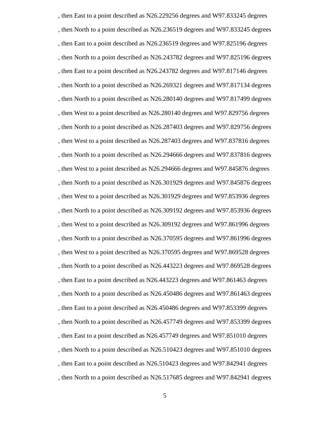, then East to a point described as N26.229256 degrees and W97.833245 degrees , then North to a point described as N26.236519 degrees and W97.833245 degrees , then East to a point described as N26.236519 degrees and W97.825196 degrees , then North to a point described as N26.243782 degrees and W97.825196 degrees , then East to a point described as N26.243782 degrees and W97.817146 degrees , then North to a point described as N26.269321 degrees and W97.817134 degrees , then North to a point described as N26.280140 degrees and W97.817499 degrees , then West to a point described as N26.280140 degrees and W97.829756 degrees , then North to a point described as N26.287403 degrees and W97.829756 degrees , then West to a point described as N26.287403 degrees and W97.837816 degrees , then North to a point described as N26.294666 degrees and W97.837816 degrees , then West to a point described as N26.294666 degrees and W97.845876 degrees , then North to a point described as N26.301929 degrees and W97.845876 degrees , then West to a point described as N26.301929 degrees and W97.853936 degrees , then North to a point described as N26.309192 degrees and W97.853936 degrees , then West to a point described as N26.309192 degrees and W97.861996 degrees , then North to a point described as N26.370595 degrees and W97.861996 degrees , then West to a point described as N26.370595 degrees and W97.869528 degrees , then North to a point described as N26.443223 degrees and W97.869528 degrees , then East to a point described as N26.443223 degrees and W97.861463 degrees , then North to a point described as N26.450486 degrees and W97.861463 degrees , then East to a point described as N26.450486 degrees and W97.853399 degrees , then North to a point described as N26.457749 degrees and W97.853399 degrees , then East to a point described as N26.457749 degrees and W97.851010 degrees , then North to a point described as N26.510423 degrees and W97.851010 degrees , then East to a point described as N26.510423 degrees and W97.842941 degrees , then North to a point described as N26.517685 degrees and W97.842941 degrees

5